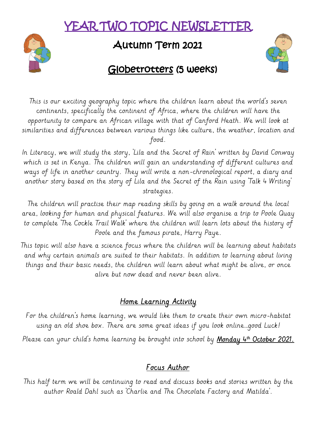# YEAR TWO TOPIC NEWSLETT



# Autumn Term 2021



## Globetrotters (5 weeks)

This is our exciting geography topic where the children learn about the world's seven continents, specifically the continent of Africa, where the children will have the opportunity to compare an African village with that of Canford Heath. We will look at similarities and differences between various things like culture, the weather, location and food.

In Literacy, we will study the story, 'Lila and the Secret of Rain' written by David Conway which is set in Kenya. The children will gain an understanding of different cultures and ways of life in another country. They will write a non-chronological report, a diary and another story based on the story of Lila and the Secret of the Rain using 'Talk 4 Writing' strategies.

The children will practise their map reading skills by going on a walk around the local area, looking for human and physical features. We will also organise a trip to Poole Quay to complete 'The Cockle Trail Walk' where the children will learn lots about the history of Poole and the famous pirate, Harry Paye.

This topic will also have a science focus where the children will be learning about habitats and why certain animals are suited to their habitats. In addition to learning about living things and their basic needs, the children will learn about what might be alive, or once alive but now dead and never been alive.

#### Home Learning Activity

For the children's home learning, we would like them to create their own micro-habitat using an old shoe box. There are some great ideas if you look online…good Luck!

Please can your child's home learning be brought into school by <u>Monday 4th October 2021.</u>

#### Focus Author

This half term we will be continuing to read and discuss books and stories written by the author Roald Dahl such as 'Charlie and The Chocolate Factory and Matilda'.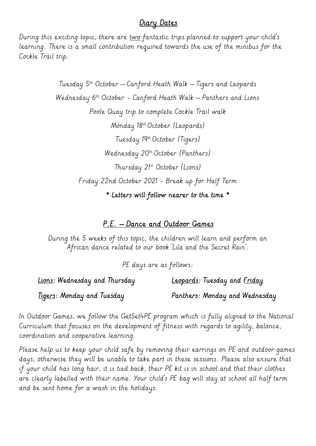#### Diary Dates

During this exciting topic, there are two fantastic trips planned to support your child's learning. There is a small contribution required towards the use of the minibus for the Cockle Trail trip.

> Tuesday  $5<sup>th</sup>$  October – Canford Heath Walk – Tigers and Leopards Wednesday 6<sup>th</sup> October - Canford Heath Walk – Panthers and Lions Poole Quay trip to complete Cockle Trail walk Monday 18th October (Leopards) Tuesday 19th October (Tigers) Wednesday 20<sup>th</sup> October (Panthers) Thursday 21st October (Lions) Friday 22nd October 2021 - Break up for Half Term \* Letters will follow nearer to the time \*

#### P.E. – Dance and Outdoor Games

During the 5 weeks of this topic, the children will learn and perform an African dance related to our book 'Lila and the Secret Rain'.

PE days are as follows:

Lions: Wednesday and Thursday **Leopards:** Tuesday and <u>Friday</u> Tigers: Monday and Tuesday **Panthers: Monday and Wednesday** 

In Outdoor Games, we follow the GetSet4PE program which is fully aligned to the National Curriculum that focuses on the development of fitness with regards to agility, balance, coordination and cooperative learning.

Please help us to keep your child safe by removing their earrings on PE and outdoor games days, otherwise they will be unable to take part in these sessions. Please also ensure that if your child has long hair, it is tied back, their PE kit is in school and that their clothes are clearly labelled with their name. Your child's PE bag will stay at school all half term and be sent home for a wash in the holidays.